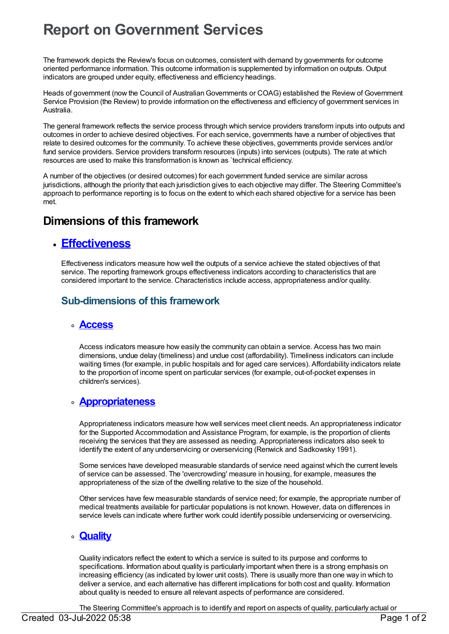# **Report on Government Services**

The framework depicts the Review's focus on outcomes, consistent with demand by governments for outcome oriented performance information. This outcome information is supplemented by information on outputs. Output indicators are grouped under equity, effectiveness and efficiency headings.

Heads of government (now the Council of Australian Governments or COAG) established the Review of Government Service Provision (the Review) to provide information on the effectiveness and efficiency of government services in Australia.

The general framework reflects the service process through which service providers transform inputs into outputs and outcomes in order to achieve desired objectives. For each service, governments have a number of objectives that relate to desired outcomes for the community. To achieve these objectives, governments provide services and/or fund service providers. Service providers transform resources (inputs) into services (outputs). The rate at which resources are used to make this transformation is known as `technical efficiency.

A number of the objectives (or desired outcomes) for each government funded service are similar across jurisdictions, although the priority that each jurisdiction gives to each objective may differ. The Steering Committee's approach to performance reporting is to focus on the extent to which each shared objective for a service has been met.

# **Dimensions of this framework**

### **[Effectiveness](https://meteor.aihw.gov.au/content/392713)**

Effectiveness indicators measure how well the outputs of a service achieve the stated objectives of that service. The reporting framework groups effectiveness indicators according to characteristics that are considered important to the service. Characteristics include access, appropriateness and/or quality.

### **Sub-dimensions of this framework**

#### **[Access](https://meteor.aihw.gov.au/content/392717)**

Access indicators measure how easily the community can obtain a service. Access has two main dimensions, undue delay (timeliness) and undue cost (affordability). Timeliness indicators can include waiting times (for example, in public hospitals and for aged care services). Affordability indicators relate to the proportion of income spent on particular services (for example, out-of-pocket expenses in children's services).

### **[Appropriateness](https://meteor.aihw.gov.au/content/392716)**

Appropriateness indicators measure how well services meet client needs. An appropriateness indicator for the Supported Accommodation and Assistance Program, for example, is the proportion of clients receiving the services that they are assessed as needing. Appropriateness indicators also seek to identify the extent of any underservicing or overservicing (Renwick and Sadkowsky 1991).

Some services have developed measurable standards of service need against which the current levels of service can be assessed. The 'overcrowding' measure in housing, for example, measures the appropriateness of the size of the dwelling relative to the size of the household.

Other services have few measurable standards of service need; for example, the appropriate number of medical treatments available for particular populations is not known. However, data on differences in service levels can indicate where further work could identify possible underservicing or overservicing.

#### **[Quality](https://meteor.aihw.gov.au/content/392714)**

Quality indicators reflect the extent to which a service is suited to its purpose and conforms to specifications. Information about quality is particularly important when there is a strong emphasis on increasing efficiency (as indicated by lower unit costs). There is usually more than one way in which to deliver a service, and each alternative has different implications for both cost and quality. Information about quality is needed to ensure all relevant aspects of performance are considered.

The Steering Committee's approach is to identify and report on aspects of quality, particularly actual or